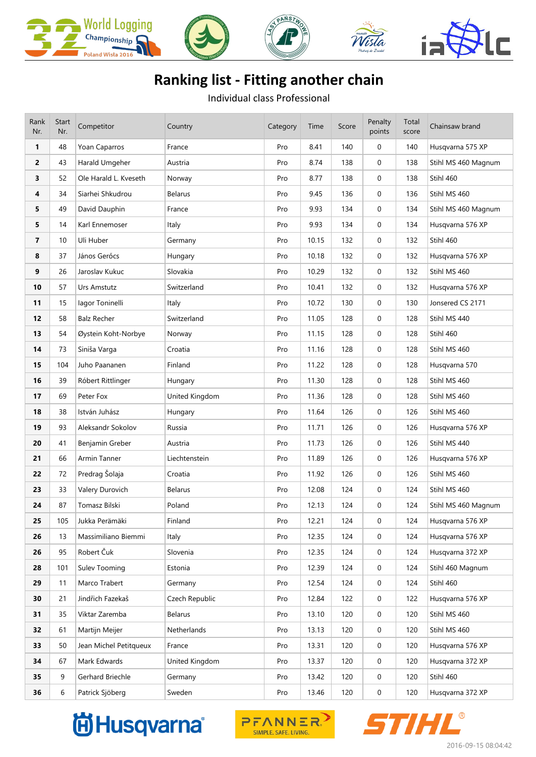









## **Ranking list - Fitting another chain**

Individual class Professional

| Rank<br>Nr.    | <b>Start</b><br>Nr. | Competitor             | Country        | Category | Time  | Score | Penalty<br>points | Total<br>score | Chainsaw brand      |
|----------------|---------------------|------------------------|----------------|----------|-------|-------|-------------------|----------------|---------------------|
| 1              | 48                  | Yoan Caparros          | France         | Pro      | 8.41  | 140   | $\mathbf 0$       | 140            | Husqvarna 575 XP    |
| 2              | 43                  | Harald Umgeher         | Austria        | Pro      | 8.74  | 138   | 0                 | 138            | Stihl MS 460 Magnum |
| 3              | 52                  | Ole Harald L. Kveseth  | Norway         | Pro      | 8.77  | 138   | 0                 | 138            | Stihl 460           |
| 4              | 34                  | Siarhei Shkudrou       | <b>Belarus</b> | Pro      | 9.45  | 136   | $\mathbf 0$       | 136            | Stihl MS 460        |
| 5              | 49                  | David Dauphin          | France         | Pro      | 9.93  | 134   | $\mathbf 0$       | 134            | Stihl MS 460 Magnum |
| 5              | 14                  | Karl Ennemoser         | Italy          | Pro      | 9.93  | 134   | $\mathbf 0$       | 134            | Husqvarna 576 XP    |
| $\overline{7}$ | 10                  | Uli Huber              | Germany        | Pro      | 10.15 | 132   | 0                 | 132            | Stihl 460           |
| 8              | 37                  | János Gerőcs           | Hungary        | Pro      | 10.18 | 132   | 0                 | 132            | Husqvarna 576 XP    |
| 9              | 26                  | Jaroslav Kukuc         | Slovakia       | Pro      | 10.29 | 132   | $\mathbf 0$       | 132            | Stihl MS 460        |
| 10             | 57                  | Urs Amstutz            | Switzerland    | Pro      | 10.41 | 132   | $\mathbf 0$       | 132            | Husqvarna 576 XP    |
| 11             | 15                  | lagor Toninelli        | Italy          | Pro      | 10.72 | 130   | 0                 | 130            | Jonsered CS 2171    |
| 12             | 58                  | <b>Balz Recher</b>     | Switzerland    | Pro      | 11.05 | 128   | 0                 | 128            | Stihl MS 440        |
| 13             | 54                  | Øystein Koht-Norbye    | Norway         | Pro      | 11.15 | 128   | $\mathbf 0$       | 128            | Stihl 460           |
| 14             | 73                  | Siniša Varga           | Croatia        | Pro      | 11.16 | 128   | 0                 | 128            | Stihl MS 460        |
| 15             | 104                 | Juho Paananen          | Finland        | Pro      | 11.22 | 128   | $\mathbf 0$       | 128            | Husqvarna 570       |
| 16             | 39                  | Róbert Rittlinger      | Hungary        | Pro      | 11.30 | 128   | 0                 | 128            | Stihl MS 460        |
| 17             | 69                  | Peter Fox              | United Kingdom | Pro      | 11.36 | 128   | 0                 | 128            | Stihl MS 460        |
| 18             | 38                  | István Juhász          | Hungary        | Pro      | 11.64 | 126   | $\mathbf 0$       | 126            | Stihl MS 460        |
| 19             | 93                  | Aleksandr Sokolov      | Russia         | Pro      | 11.71 | 126   | 0                 | 126            | Husqvarna 576 XP    |
| 20             | 41                  | Benjamin Greber        | Austria        | Pro      | 11.73 | 126   | 0                 | 126            | Stihl MS 440        |
| 21             | 66                  | Armin Tanner           | Liechtenstein  | Pro      | 11.89 | 126   | 0                 | 126            | Husqvarna 576 XP    |
| 22             | 72                  | Predrag Šolaja         | Croatia        | Pro      | 11.92 | 126   | $\mathbf 0$       | 126            | Stihl MS 460        |
| 23             | 33                  | Valery Durovich        | Belarus        | Pro      | 12.08 | 124   | $\mathbf 0$       | 124            | Stihl MS 460        |
| 24             | 87                  | Tomasz Bilski          | Poland         | Pro      | 12.13 | 124   | $\mathbf 0$       | 124            | Stihl MS 460 Magnum |
| 25             | 105                 | Jukka Perämäki         | Finland        | Pro      | 12.21 | 124   | 0                 | 124            | Husqvarna 576 XP    |
| 26             | 13                  | Massimiliano Biemmi    | Italy          | Pro      | 12.35 | 124   | 0                 | 124            | Husqvarna 576 XP    |
| 26             | 95                  | Robert Čuk             | Slovenia       | Pro      | 12.35 | 124   | $\mathbf 0$       | 124            | Husqvarna 372 XP    |
| 28             | 101                 | Sulev Tooming          | Estonia        | Pro      | 12.39 | 124   | $\mathbf 0$       | 124            | Stihl 460 Magnum    |
| 29             | 11                  | Marco Trabert          | Germany        | Pro      | 12.54 | 124   | $\mathbf 0$       | 124            | Stihl 460           |
| 30             | 21                  | Jindřich Fazekaš       | Czech Republic | Pro      | 12.84 | 122   | $\mathbf 0$       | 122            | Husqvarna 576 XP    |
| 31             | 35                  | Viktar Zaremba         | Belarus        | Pro      | 13.10 | 120   | $\mathbf 0$       | 120            | Stihl MS 460        |
| 32             | 61                  | Martijn Meijer         | Netherlands    | Pro      | 13.13 | 120   | $\mathbf 0$       | 120            | Stihl MS 460        |
| 33             | 50                  | Jean Michel Petitqueux | France         | Pro      | 13.31 | 120   | $\mathbf 0$       | 120            | Husqvarna 576 XP    |
| 34             | 67                  | Mark Edwards           | United Kingdom | Pro      | 13.37 | 120   | $\mathbf 0$       | 120            | Husqvarna 372 XP    |
| 35             | 9                   | Gerhard Briechle       | Germany        | Pro      | 13.42 | 120   | $\mathbf 0$       | 120            | Stihl 460           |
| 36             | 6                   | Patrick Sjöberg        | Sweden         | Pro      | 13.46 | 120   | $\boldsymbol{0}$  | 120            | Husqvarna 372 XP    |





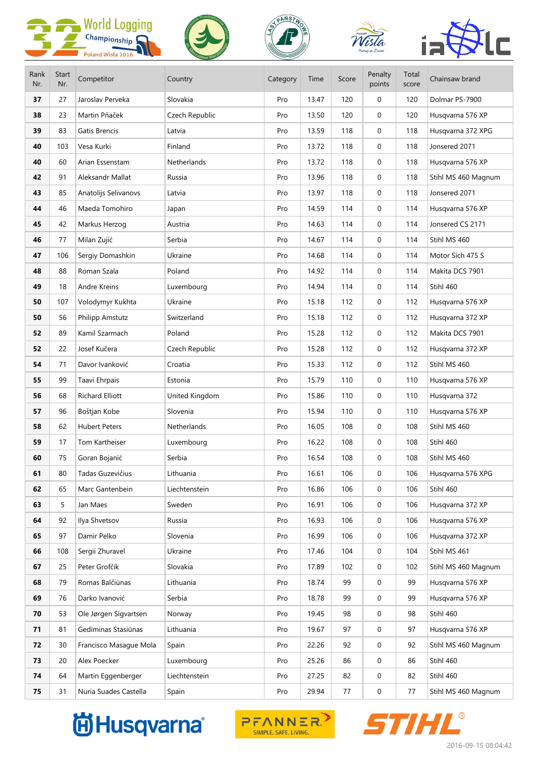









| Rank<br>Nr. | <b>Start</b><br>Nr. | Competitor             | Country        | Category | Time  | Score | Penalty<br>points | Total<br>score | Chainsaw brand      |
|-------------|---------------------|------------------------|----------------|----------|-------|-------|-------------------|----------------|---------------------|
| 37          | 27                  | Jaroslav Perveka       | Slovakia       | Pro      | 13.47 | 120   | 0                 | 120            | Dolmar PS-7900      |
| 38          | 23                  | Martin Pňaček          | Czech Republic | Pro      | 13.50 | 120   | $\mathbf 0$       | 120            | Husqvarna 576 XP    |
| 39          | 83                  | Gatis Brencis          | Latvia         | Pro      | 13.59 | 118   | 0                 | 118            | Husqvarna 372 XPG   |
| 40          | 103                 | Vesa Kurki             | Finland        | Pro      | 13.72 | 118   | $\mathbf 0$       | 118            | Jonsered 2071       |
| 40          | 60                  | Arian Essenstam        | Netherlands    | Pro      | 13.72 | 118   | $\mathbf 0$       | 118            | Husqvarna 576 XP    |
| 42          | 91                  | Aleksandr Mallat       | Russia         | Pro      | 13.96 | 118   | 0                 | 118            | Stihl MS 460 Magnum |
| 43          | 85                  | Anatolijs Selivanovs   | Latvia         | Pro      | 13.97 | 118   | 0                 | 118            | Jonsered 2071       |
| 44          | 46                  | Maeda Tomohiro         | Japan          | Pro      | 14.59 | 114   | 0                 | 114            | Husqvarna 576 XP    |
| 45          | 42                  | Markus Herzog          | Austria        | Pro      | 14.63 | 114   | $\mathbf 0$       | 114            | Jonsered CS 2171    |
| 46          | 77                  | Milan Zujić            | Serbia         | Pro      | 14.67 | 114   | 0                 | 114            | Stihl MS 460        |
| 47          | 106                 | Sergiy Domashkin       | Ukraine        | Pro      | 14.68 | 114   | $\mathbf 0$       | 114            | Motor Sich 475 S    |
| 48          | 88                  | Roman Szala            | Poland         | Pro      | 14.92 | 114   | 0                 | 114            | Makita DCS 7901     |
| 49          | 18                  | Andre Kreins           | Luxembourg     | Pro      | 14.94 | 114   | $\mathbf 0$       | 114            | Stihl 460           |
| 50          | 107                 | Volodymyr Kukhta       | Ukraine        | Pro      | 15.18 | 112   | $\mathbf 0$       | 112            | Husqvarna 576 XP    |
| 50          | 56                  | Philipp Amstutz        | Switzerland    | Pro      | 15.18 | 112   | 0                 | 112            | Husqvarna 372 XP    |
| 52          | 89                  | Kamil Szarmach         | Poland         | Pro      | 15.28 | 112   | 0                 | 112            | Makita DCS 7901     |
| 52          | 22                  | Josef Kučera           | Czech Republic | Pro      | 15.28 | 112   | 0                 | 112            | Husqvarna 372 XP    |
| 54          | 71                  | Davor Ivanković        | Croatia        | Pro      | 15.33 | 112   | 0                 | 112            | Stihl MS 460        |
| 55          | 99                  | Taavi Ehrpais          | Estonia        | Pro      | 15.79 | 110   | 0                 | 110            | Husqvarna 576 XP    |
| 56          | 68                  | <b>Richard Elliott</b> | United Kingdom | Pro      | 15.86 | 110   | $\mathbf 0$       | 110            | Husqvarna 372       |
| 57          | 96                  | Boštjan Kobe           | Slovenia       | Pro      | 15.94 | 110   | 0                 | 110            | Husqvarna 576 XP    |
| 58          | 62                  | <b>Hubert Peters</b>   | Netherlands    | Pro      | 16.05 | 108   | $\mathbf 0$       | 108            | Stihl MS 460        |
| 59          | 17                  | Tom Kartheiser         | Luxembourg     | Pro      | 16.22 | 108   | 0                 | 108            | Stihl 460           |
| 60          | 75                  | Goran Bojanić          | Serbia         | Pro      | 16.54 | 108   | 0                 | 108            | Stihl MS 460        |
| 61          | $80\,$              | Tadas Guzevičius       | Lithuania      | Pro      | 16.61 | 106   | 0                 | 106            | Husqvarna 576 XPG   |
| 62          | 65                  | Marc Gantenbein        | Liechtenstein  | Pro      | 16.86 | 106   | 0                 | 106            | Stihl 460           |
| 63          | 5                   | Jan Maes               | Sweden         | Pro      | 16.91 | 106   | 0                 | 106            | Husqvarna 372 XP    |
| 64          | 92                  | Ilya Shvetsov          | Russia         | Pro      | 16.93 | 106   | 0                 | 106            | Husqvarna 576 XP    |
| 65          | 97                  | Damir Pelko            | Slovenia       | Pro      | 16.99 | 106   | 0                 | 106            | Husqvarna 372 XP    |
| 66          | 108                 | Sergii Zhuravel        | Ukraine        | Pro      | 17.46 | 104   | 0                 | 104            | Stihl MS 461        |
| 67          | 25                  | Peter Grofčík          | Slovakia       | Pro      | 17.89 | 102   | 0                 | 102            | Stihl MS 460 Magnum |
| 68          | 79                  | Romas Balčiūnas        | Lithuania      | Pro      | 18.74 | 99    | 0                 | 99             | Husqvarna 576 XP    |
| 69          | 76                  | Darko Ivanović         | Serbia         | Pro      | 18.78 | 99    | $\mathbf 0$       | 99             | Husqvarna 576 XP    |
| 70          | 53                  | Ole Jørgen Sigvartsen  | Norway         | Pro      | 19.45 | 98    | 0                 | 98             | Stihl 460           |
| 71          | 81                  | Gediminas Stasiūnas    | Lithuania      | Pro      | 19.67 | 97    | 0                 | 97             | Husqvarna 576 XP    |
| 72          | 30                  | Francisco Masague Mola | Spain          | Pro      | 22.26 | 92    | 0                 | 92             | Stihl MS 460 Magnum |
| 73          | 20                  | Alex Poecker           | Luxembourg     | Pro      | 25.26 | 86    | 0                 | 86             | Stihl 460           |
| 74          | 64                  | Martin Eggenberger     | Liechtenstein  | Pro      | 27.25 | 82    | $\mathbf 0$       | 82             | Stihl 460           |
| 75          | 31                  | Nuria Suades Castella  | Spain          | Pro      | 29.94 | 77    | 0                 | 77             | Stihl MS 460 Magnum |